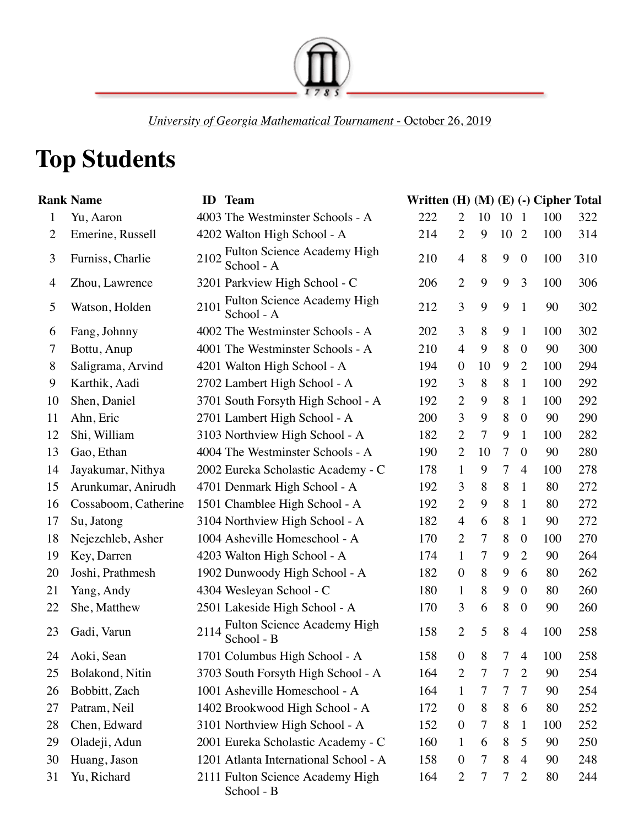

*University of Georgia Mathematical Tournament* - October 26, 2019

## **Top Students**

|                | <b>Rank Name</b>     | ID   | <b>Team</b>                                      | Written $(H)$ $(M)$ $(E)$ $(-)$ Cipher Total |                  |    |                |                  |     |     |
|----------------|----------------------|------|--------------------------------------------------|----------------------------------------------|------------------|----|----------------|------------------|-----|-----|
| $\mathbf{1}$   | Yu, Aaron            |      | 4003 The Westminster Schools - A                 | 222                                          | $\overline{2}$   | 10 | 10             | $\overline{1}$   | 100 | 322 |
| $\overline{2}$ | Emerine, Russell     |      | 4202 Walton High School - A                      | 214                                          | $\overline{2}$   | 9  | 10             | $\overline{2}$   | 100 | 314 |
| 3              | Furniss, Charlie     | 2102 | Fulton Science Academy High<br>School - A        | 210                                          | $\overline{4}$   | 8  | 9              | $\boldsymbol{0}$ | 100 | 310 |
| 4              | Zhou, Lawrence       |      | 3201 Parkview High School - C                    | 206                                          | $\overline{2}$   | 9  | 9              | 3                | 100 | 306 |
| 5              | Watson, Holden       | 2101 | <b>Fulton Science Academy High</b><br>School - A | 212                                          | 3                | 9  | 9              | $\mathbf{1}$     | 90  | 302 |
| 6              | Fang, Johnny         |      | 4002 The Westminster Schools - A                 | 202                                          | 3                | 8  | 9              | 1                | 100 | 302 |
| 7              | Bottu, Anup          |      | 4001 The Westminster Schools - A                 | 210                                          | $\overline{4}$   | 9  | 8              | $\boldsymbol{0}$ | 90  | 300 |
| 8              | Saligrama, Arvind    |      | 4201 Walton High School - A                      | 194                                          | $\boldsymbol{0}$ | 10 | 9              | $\overline{2}$   | 100 | 294 |
| 9              | Karthik, Aadi        |      | 2702 Lambert High School - A                     | 192                                          | 3                | 8  | 8              | $\mathbf{1}$     | 100 | 292 |
| 10             | Shen, Daniel         |      | 3701 South Forsyth High School - A               | 192                                          | $\overline{2}$   | 9  | 8              | $\mathbf{1}$     | 100 | 292 |
| 11             | Ahn, Eric            |      | 2701 Lambert High School - A                     | 200                                          | 3                | 9  | 8              | $\overline{0}$   | 90  | 290 |
| 12             | Shi, William         |      | 3103 Northview High School - A                   | 182                                          | $\overline{2}$   | 7  | 9              | 1                | 100 | 282 |
| 13             | Gao, Ethan           |      | 4004 The Westminster Schools - A                 | 190                                          | $\overline{2}$   | 10 | $\overline{7}$ | $\overline{0}$   | 90  | 280 |
| 14             | Jayakumar, Nithya    |      | 2002 Eureka Scholastic Academy - C               | 178                                          | $\mathbf{1}$     | 9  | $\tau$         | $\overline{4}$   | 100 | 278 |
| 15             | Arunkumar, Anirudh   |      | 4701 Denmark High School - A                     | 192                                          | 3                | 8  | 8              | 1                | 80  | 272 |
| 16             | Cossaboom, Catherine |      | 1501 Chamblee High School - A                    | 192                                          | $\overline{2}$   | 9  | 8              | 1                | 80  | 272 |
| 17             | Su, Jatong           |      | 3104 Northview High School - A                   | 182                                          | $\overline{4}$   | 6  | 8              | 1                | 90  | 272 |
| 18             | Nejezchleb, Asher    |      | 1004 Asheville Homeschool - A                    | 170                                          | $\overline{2}$   | 7  | 8              | $\boldsymbol{0}$ | 100 | 270 |
| 19             | Key, Darren          |      | 4203 Walton High School - A                      | 174                                          | $\mathbf{1}$     | 7  | 9              | $\overline{2}$   | 90  | 264 |
| 20             | Joshi, Prathmesh     |      | 1902 Dunwoody High School - A                    | 182                                          | $\boldsymbol{0}$ | 8  | 9              | 6                | 80  | 262 |
| 21             | Yang, Andy           |      | 4304 Wesleyan School - C                         | 180                                          | $\mathbf{1}$     | 8  | 9              | $\overline{0}$   | 80  | 260 |
| 22             | She, Matthew         |      | 2501 Lakeside High School - A                    | 170                                          | 3                | 6  | 8              | $\boldsymbol{0}$ | 90  | 260 |
| 23             | Gadi, Varun          | 2114 | Fulton Science Academy High<br>School - B        | 158                                          | $\overline{2}$   | 5  | $8\,$          | $\overline{4}$   | 100 | 258 |
| 24             | Aoki, Sean           |      | 1701 Columbus High School - A                    | 158                                          | $\boldsymbol{0}$ | 8  | 7              | $\overline{4}$   | 100 | 258 |
| 25             | Bolakond, Nitin      |      | 3703 South Forsyth High School - A               | 164                                          | 2                | 7  | $\tau$         | $\overline{2}$   | 90  | 254 |
| 26             | Bobbitt, Zach        |      | 1001 Asheville Homeschool - A                    | 164                                          | $\mathbf{1}$     | 7  | $\tau$         | 7                | 90  | 254 |
| 27             | Patram, Neil         |      | 1402 Brookwood High School - A                   | 172                                          | $\overline{0}$   | 8  | 8              | 6                | 80  | 252 |
| 28             | Chen, Edward         |      | 3101 Northview High School - A                   | 152                                          | $\boldsymbol{0}$ | 7  | 8              | 1                | 100 | 252 |
| 29             | Oladeji, Adun        |      | 2001 Eureka Scholastic Academy - C               | 160                                          | $\mathbf{1}$     | 6  | 8              | 5                | 90  | 250 |
| 30             | Huang, Jason         |      | 1201 Atlanta International School - A            | 158                                          | $\boldsymbol{0}$ | 7  | 8              | $\overline{4}$   | 90  | 248 |
| 31             | Yu, Richard          |      | 2111 Fulton Science Academy High<br>School - B   | 164                                          | $\overline{2}$   | 7  | 7              | $\overline{2}$   | 80  | 244 |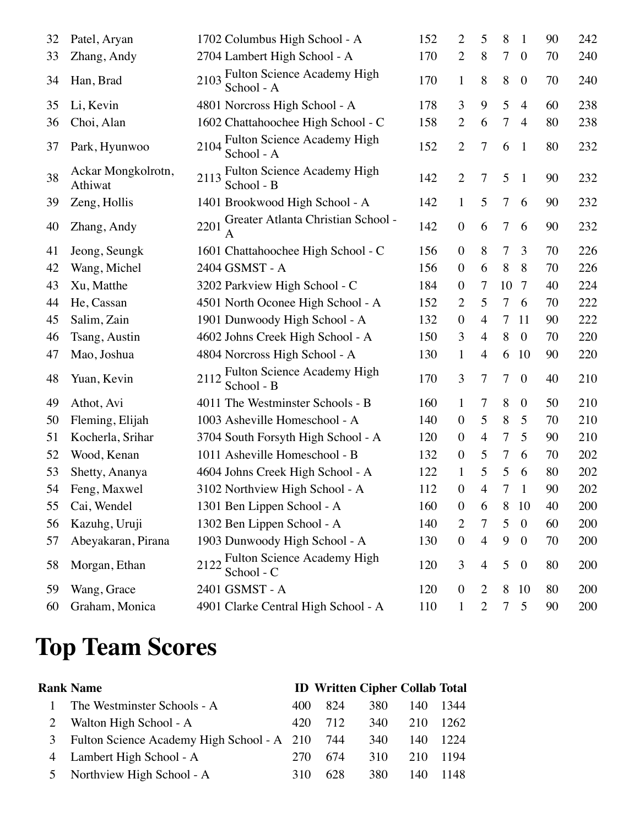| 32 | Patel, Aryan                  | 1702 Columbus High School - A                            | 152 | 2                | 5                        | 8      | $\mathbf{1}$     | 90 | 242 |
|----|-------------------------------|----------------------------------------------------------|-----|------------------|--------------------------|--------|------------------|----|-----|
| 33 | Zhang, Andy                   | 2704 Lambert High School - A                             | 170 | $\overline{2}$   | 8                        | 7      | $\boldsymbol{0}$ | 70 | 240 |
| 34 | Han, Brad                     | <b>Fulton Science Academy High</b><br>2103<br>School - A | 170 | $\mathbf{1}$     | 8                        | 8      | $\boldsymbol{0}$ | 70 | 240 |
| 35 | Li, Kevin                     | 4801 Norcross High School - A                            | 178 | 3                | 9                        | 5      | $\overline{4}$   | 60 | 238 |
| 36 | Choi, Alan                    | 1602 Chattahoochee High School - C                       | 158 | $\overline{2}$   | 6                        | 7      | $\overline{4}$   | 80 | 238 |
| 37 | Park, Hyunwoo                 | Fulton Science Academy High<br>2104<br>School - A        | 152 | $\overline{2}$   | 7                        | 6      | $\mathbf{1}$     | 80 | 232 |
| 38 | Ackar Mongkolrotn,<br>Athiwat | 2113 Fulton Science Academy High<br>School - B           | 142 | $\overline{2}$   | $\tau$                   | 5      | $\mathbf{1}$     | 90 | 232 |
| 39 | Zeng, Hollis                  | 1401 Brookwood High School - A                           | 142 | $\mathbf{1}$     | 5                        | 7      | 6                | 90 | 232 |
| 40 | Zhang, Andy                   | Greater Atlanta Christian School -<br>2201               | 142 | $\boldsymbol{0}$ | 6                        | 7      | 6                | 90 | 232 |
| 41 | Jeong, Seungk                 | 1601 Chattahoochee High School - C                       | 156 | $\overline{0}$   | 8                        | 7      | 3                | 70 | 226 |
| 42 | Wang, Michel                  | 2404 GSMST - A                                           | 156 | $\boldsymbol{0}$ | 6                        | 8      | 8                | 70 | 226 |
| 43 | Xu, Matthe                    | 3202 Parkview High School - C                            | 184 | $\boldsymbol{0}$ | 7                        | 10     | 7                | 40 | 224 |
| 44 | He, Cassan                    | 4501 North Oconee High School - A                        | 152 | $\overline{c}$   | 5                        | 7      | 6                | 70 | 222 |
| 45 | Salim, Zain                   | 1901 Dunwoody High School - A                            | 132 | $\boldsymbol{0}$ | $\overline{4}$           | 7      | 11               | 90 | 222 |
| 46 | Tsang, Austin                 | 4602 Johns Creek High School - A                         | 150 | 3                | $\overline{4}$           | 8      | $\mathbf{0}$     | 70 | 220 |
| 47 | Mao, Joshua                   | 4804 Norcross High School - A                            | 130 | $\mathbf{1}$     | 4                        | 6      | 10               | 90 | 220 |
| 48 | Yuan, Kevin                   | 2112 Fulton Science Academy High<br>School - B           | 170 | 3                | 7                        | 7      | $\boldsymbol{0}$ | 40 | 210 |
| 49 | Athot, Avi                    | 4011 The Westminster Schools - B                         | 160 | 1                | 7                        | 8      | $\boldsymbol{0}$ | 50 | 210 |
| 50 | Fleming, Elijah               | 1003 Asheville Homeschool - A                            | 140 | $\boldsymbol{0}$ | 5                        | 8      | 5                | 70 | 210 |
| 51 | Kocherla, Srihar              | 3704 South Forsyth High School - A                       | 120 | $\boldsymbol{0}$ | $\overline{4}$           | $\tau$ | 5                | 90 | 210 |
| 52 | Wood, Kenan                   | 1011 Asheville Homeschool - B                            | 132 | $\boldsymbol{0}$ | 5                        | 7      | 6                | 70 | 202 |
| 53 | Shetty, Ananya                | 4604 Johns Creek High School - A                         | 122 | $\mathbf{1}$     | 5                        | 5      | 6                | 80 | 202 |
| 54 | Feng, Maxwel                  | 3102 Northview High School - A                           | 112 | $\boldsymbol{0}$ | $\overline{\mathcal{A}}$ | 7      | $\mathbf{1}$     | 90 | 202 |
| 55 | Cai, Wendel                   | 1301 Ben Lippen School - A                               | 160 | $\boldsymbol{0}$ | 6                        | 8      | 10               | 40 | 200 |
| 56 | Kazuhg, Uruji                 | 1302 Ben Lippen School - A                               | 140 | $\overline{c}$   | 7                        | 5      | $\boldsymbol{0}$ | 60 | 200 |
| 57 | Abeyakaran, Pirana            | 1903 Dunwoody High School - A                            | 130 | $\boldsymbol{0}$ | $\overline{4}$           | 9      | $\boldsymbol{0}$ | 70 | 200 |
| 58 | Morgan, Ethan                 | Fulton Science Academy High<br>2122<br>School - C        | 120 | 3                | 4                        | 5      | $\boldsymbol{0}$ | 80 | 200 |
| 59 | Wang, Grace                   | 2401 GSMST - A                                           | 120 | $\boldsymbol{0}$ | 2                        | 8      | 10               | 80 | 200 |
| 60 | Graham, Monica                | 4901 Clarke Central High School - A                      | 110 | $\mathbf{1}$     | 2                        | 7      | 5                | 90 | 200 |

## **Top Team Scores**

|   | <b>Rank Name</b>                           |     | <b>ID Written Cipher Collab Total</b> |     |     |       |
|---|--------------------------------------------|-----|---------------------------------------|-----|-----|-------|
|   | The Westminster Schools - A                | 400 | 824                                   | 380 | 140 | 1344  |
|   | Walton High School - A                     | 42Q | 712                                   | 340 | 210 | 1262. |
| 3 | Fulton Science Academy High School - A 210 |     | 744                                   | 340 | 140 | 1224  |
|   | 4 Lambert High School - A                  | 270 | 674                                   | 310 | 210 | 1194  |
|   | 5 Northview High School - A                | 310 | 628                                   | 380 | 140 | 1148  |